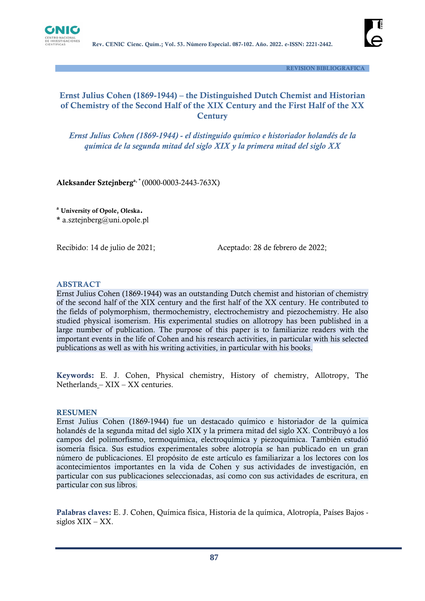



 **REVISION BIBLIOGRAFICA**

# **Ernst Julius Cohen (1869-1944) – the Distinguished Dutch Chemist and Historian of Chemistry of the Second Half of the XIX Century and the First Half of the XX Century**

*Ernst Julius Cohen (1869-1944) - el distinguido químico e historiador holandés de la química de la segunda mitad del siglo XIX y la primera mitad del siglo XX*

**Aleksander Sztejnberga, \*** (0000-0003-2443-763X)

**<sup>a</sup> University of Opole, Oleska.**

**\*** a.sztejnberg@uni.opole.pl

Recibido: 14 de julio de 2021;Aceptado: 28 de febrero de 2022;

### **ABSTRACT**

Ernst Julius Cohen (1869-1944) was an outstanding Dutch chemist and historian of chemistry of the second half of the XIX century and the first half of the XX century. He contributed to the fields of polymorphism, thermochemistry, electrochemistry and piezochemistry. He also studied physical isomerism. His experimental studies on allotropy has been published in a large number of publication. The purpose of this paper is to familiarize readers with the important events in the life of Cohen and his research activities, in particular with his selected publications as well as with his writing activities, in particular with his books.

**Keywords:** E. J. Cohen, Physical chemistry, History of chemistry, Allotropy, The Netherlands – XIX – XX centuries.

#### **RESUMEN**

Ernst Julius Cohen (1869-1944) fue un destacado químico e historiador de la química holandés de la segunda mitad del siglo XIX y la primera mitad del siglo XX. Contribuyó a los campos del polimorfismo, termoquímica, electroquímica y piezoquímica. También estudió isomería física. Sus estudios experimentales sobre alotropía se han publicado en un gran número de publicaciones. El propósito de este artículo es familiarizar a los lectores con los acontecimientos importantes en la vida de Cohen y sus actividades de investigación, en particular con sus publicaciones seleccionadas, así como con sus actividades de escritura, en particular con sus libros.

**Palabras claves:** E. J. Cohen, Química física, Historia de la química, Alotropía, Países Bajos siglos XIX – XX.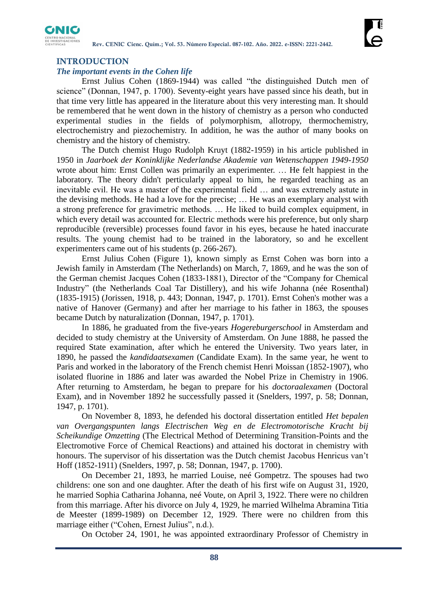

## **INTRODUCTION**

#### *The important events in the Cohen life*

Ernst Julius Cohen (1869-1944) was called "the distinguished Dutch men of science" (Donnan, 1947, p. 1700). Seventy-eight years have passed since his death, but in that time very little has appeared in the literature about this very interesting man. It should be remembered that he went down in the history of chemistry as a person who conducted experimental studies in the fields of polymorphism, allotropy, thermochemistry, electrochemistry and piezochemistry. In addition, he was the author of many books on chemistry and the history of chemistry.

The Dutch chemist Hugo Rudolph Kruyt (1882-1959) in his article published in 1950 in *Jaarboek der Koninklijke Nederlandse Akademie van Wetenschappen 1949-1950* wrote about him: Ernst Collen was primarily an experimenter. … He felt happiest in the laboratory. The theory didn't perticularly appeal to him, he regarded teaching as an inevitable evil. He was a master of the experimental field … and was extremely astute in the devising methods. He had a love for the precise; … He was an exemplary analyst with a strong preference for gravimetric methods. … He liked to build complex equipment, in which every detail was accounted for. Electric methods were his preference, but only sharp reproducible (reversible) processes found favor in his eyes, because he hated inaccurate results. The young chemist had to be trained in the laboratory, so and he excellent experimenters came out of his students (p. 266-267).

Ernst Julius Cohen (Figure 1), known simply as Ernst Cohen was born into a Jewish family in Amsterdam (The Netherlands) on March, 7, 1869, and he was the son of the German chemist Jacques Cohen (1833-1881), Director of the "Company for Chemical Industry" (the Netherlands Coal Tar Distillery), and his wife Johanna (née Rosenthal) (1835-1915) (Jorissen, 1918, p. 443; Donnan, 1947, p. 1701). Ernst Cohen's mother was a native of Hanover (Germany) and after her marriage to his father in 1863, the spouses became Dutch by naturalization (Donnan, 1947, p. 1701).

In 1886, he graduated from the five-years *Hogereburgerschool* in Amsterdam and decided to study chemistry at the University of Amsterdam. On June 1888, he passed the required State examination, after which he entered the University. Two years later, in 1890, he passed the *kandidaatsexamen* (Candidate Exam). In the same year, he went to Paris and worked in the laboratory of the French chemist Henri Moissan (1852-1907), who isolated fluorine in 1886 and later was awarded the Nobel Prize in Chemistry in 1906. After returning to Amsterdam, he began to prepare for his *doctoraalexamen* (Doctoral Exam), and in November 1892 he successfully passed it (Snelders, 1997, p. 58; Donnan, 1947, p. 1701).

On November 8, 1893, he defended his doctoral dissertation entitled *Het bepalen van Overgangspunten langs Electrischen Weg en de Electromotorische Kracht bij Scheikundige Omzetting* (The Electrical Method of Determining Transition-Points and the Electromotive Force of Chemical Reactions) and attained his doctorat in chemistry with honours. The supervisor of his dissertation was the Dutch chemist Jacobus Henricus van't Hoff (1852-1911) (Snelders, 1997, p. 58; Donnan, 1947, p. 1700).

On December 21, 1893, he married Louise, neé Gompetrz. The spouses had two childrens: one son and one daughter. After the death of his first wife on August 31, 1920, he married Sophia Catharina Johanna, neé Voute, on April 3, 1922. There were no children from this marriage. After his divorce on July 4, 1929, he married Wilhelma Abramina Titia de Meester (1899-1989) on December 12, 1929. There were no children from this marriage either ("Cohen, Ernest Julius", n.d.).

On October 24, 1901, he was appointed extraordinary Professor of Chemistry in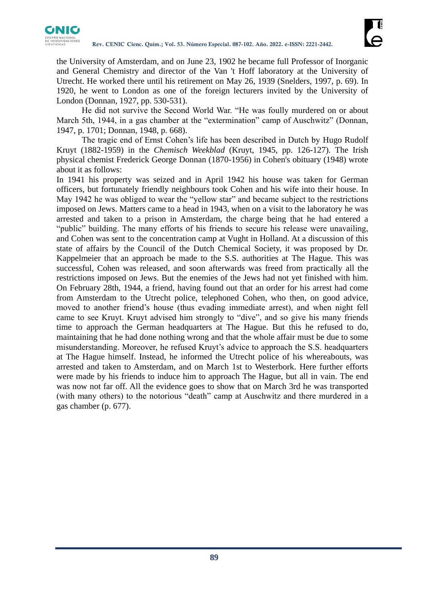

the University of Amsterdam, and on June 23, 1902 he became full Professor of Inorganic and General Chemistry and director of the Van 't Hoff laboratory at the University of Utrecht. He worked there until his retirement on May 26, 1939 (Snelders, 1997, p. 69). In 1920, he went to London as one of the foreign lecturers invited by the University of London (Donnan, 1927, pp. 530-531).

He did not survive the Second World War. "He was foully murdered on or about March 5th, 1944, in a gas chamber at the "extermination" camp of Auschwitz" (Donnan, 1947, p. 1701; Donnan, 1948, p. 668).

The tragic end of Ernst Cohen's life has been described in Dutch by Hugo Rudolf Kruyt (1882-1959) in the *Chemisch Weekblad* (Kruyt, 1945, pp. 126-127). The Irish physical chemist Frederick George Donnan (1870-1956) in Cohen's obituary (1948) wrote about it as follows:

In 1941 his property was seized and in April 1942 his house was taken for German officers, but fortunately friendly neighbours took Cohen and his wife into their house. In May 1942 he was obliged to wear the "yellow star" and became subject to the restrictions imposed on Jews. Matters came to a head in 1943, when on a visit to the laboratory he was arrested and taken to a prison in Amsterdam, the charge being that he had entered a "public" building. The many efforts of his friends to secure his release were unavailing, and Cohen was sent to the concentration camp at Vught in Holland. At a discussion of this state of affairs by the Council of the Dutch Chemical Society, it was proposed by Dr. Kappelmeier that an approach be made to the S.S. authorities at The Hague. This was successful, Cohen was released, and soon afterwards was freed from practically all the restrictions imposed on Jews. But the enemies of the Jews had not yet finished with him. On February 28th, 1944, a friend, having found out that an order for his arrest had come from Amsterdam to the Utrecht police, telephoned Cohen, who then, on good advice, moved to another friend's house (thus evading immediate arrest), and when night fell came to see Kruyt. Kruyt advised him strongly to "dive", and so give his many friends time to approach the German headquarters at The Hague. But this he refused to do, maintaining that he had done nothing wrong and that the whole affair must be due to some misunderstanding. Moreover, he refused Kruyt's advice to approach the S.S. headquarters at The Hague himself. Instead, he informed the Utrecht police of his whereabouts, was arrested and taken to Amsterdam, and on March 1st to Westerbork. Here further efforts were made by his friends to induce him to approach The Hague, but all in vain. The end was now not far off. All the evidence goes to show that on March 3rd he was transported (with many others) to the notorious "death" camp at Auschwitz and there murdered in a gas chamber (p. 677).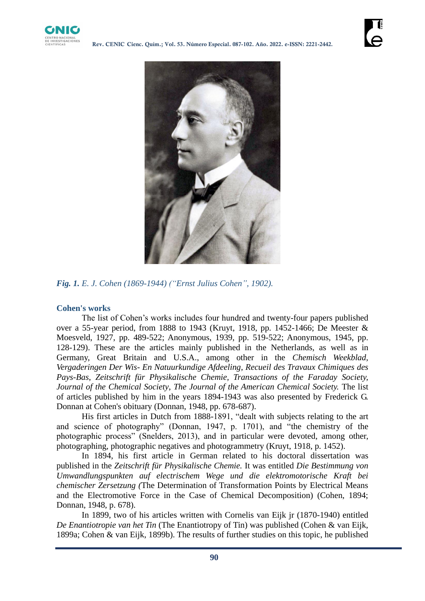



*Fig. 1. E. J. Cohen (1869-1944) ("Ernst Julius Cohen", 1902).*

# **Cohen's works**

The list of Cohen's works includes four hundred and twenty-four papers published over a 55-year period, from 1888 to 1943 (Kruyt, 1918, pp. 1452-1466; De Meester & Moesveld, 1927, pp. 489-522; Anonymous, 1939, pp. 519-522; Anonymous, 1945, pp. 128-129). These are the articles mainly published in the Netherlands, as well as in Germany, Great Britain and U.S.A., among other in the *Chemisch Weekblad*, *Vergaderingen Der Wis- En Natuurkundige Afdeeling*, *Recueil des Travaux Chimiques des Pays-Bas*, *Zeitschrift für Physikalische Chemie, Transactions of the Faraday Society, Journal of the Chemical Society*, *The Journal of the American Chemical Society.* The list of articles published by him in the years 1894-1943 was also presented by Frederick G. Donnan at Cohen's obituary (Donnan, 1948, pp. 678-687).

His first articles in Dutch from 1888-1891, "dealt with subjects relating to the art and science of photography" (Donnan, 1947, p. 1701), and "the chemistry of the photographic process" (Snelders, 2013), and in particular were devoted, among other, photographing, photographic negatives and photogrammetry (Kruyt, 1918, p. 1452).

In 1894, his first article in German related to his doctoral dissertation was published in the *Zeitschrift für Physikalische Chemie.* It was entitled *Die Bestimmung von Umwandlungspunkten auf electrischem Wege und die elektromotorische Kraft bei chemischer Zersetzung (*The Determination of Transformation Points by Electrical Means and the Electromotive Force in the Case of Chemical Decomposition) (Cohen, 1894; Donnan, 1948, p. 678).

In 1899, two of his articles written with Cornelis van Eijk jr (1870-1940) entitled *De Enantiotropie van het Tin* (The Enantiotropy of Tin) was published (Cohen & van Eijk, 1899a; Cohen & van Eijk, 1899b). The results of further studies on this topic, he published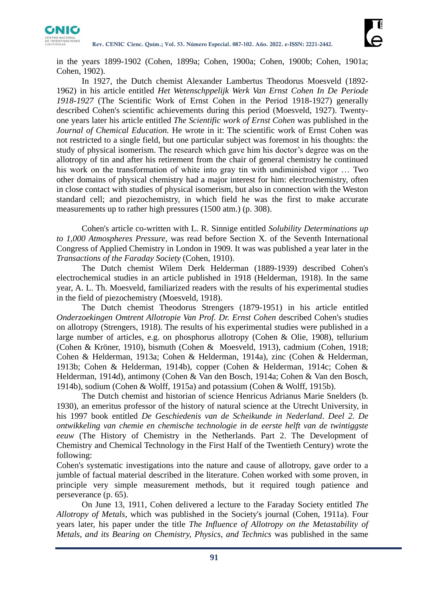

in the years 1899-1902 (Cohen, 1899a; Cohen, 1900a; Cohen, 1900b; Cohen, 1901a; Cohen, 1902).

In 1927, the Dutch chemist Alexander Lambertus Theodorus Moesveld (1892- 1962) in his article entitled *Het Wetenschppelijk Werk Van Ernst Cohen In De Periode 1918-1927* (The Scientific Work of Ernst Cohen in the Period 1918-1927) generally described Cohen's scientific achievements during this period (Moesveld, 1927). Twentyone years later his article entitled *The Scientific work of Ernst Cohen* was published in the *Journal of Chemical Education.* He wrote in it: The scientific work of Ernst Cohen was not restricted to a single field, but one particular subject was foremost in his thoughts: the study of physical isomerism. The research which gave him his doctor's degree was on the allotropy of tin and after his retirement from the chair of general chemistry he continued his work on the transformation of white into gray tin with undiminished vigor … Two other domains of physical chemistry had a major interest for him: electrochemistry, often in close contact with studies of physical isomerism, but also in connection with the Weston standard cell; and piezochemistry, in which field he was the first to make accurate measurements up to rather high pressures (1500 atm.) (p. 308).

Cohen's article co-written with L. R. Sinnige entitled *Solubility Determinations up to 1,000 Atmospheres Pressure*, was read before Section X. of the Seventh International Congress of Applied Chemistry in London in 1909. It was was published a year later in the *Transactions of the Faraday Society* (Cohen, 1910).

The Dutch chemist Wilem Derk Helderman (1889-1939) described Cohen's electrochemical studies in an article published in 1918 (Helderman, 1918). In the same year, A. L. Th. Moesveld, familiarized readers with the results of his experimental studies in the field of piezochemistry (Moesveld, 1918).

The Dutch chemist Theodorus Strengers (1879-1951) in his article entitled *Onderzoekingen Omtrent Allotropie Van Prof. Dr. Ernst Cohen* described Cohen's studies on allotropy (Strengers, 1918). The results of his experimental studies were published in a large number of articles, e.g. on phosphorus allotropy (Cohen & Olie, 1908), tellurium (Cohen & Kröner, 1910), bismuth (Cohen & Moesveld, 1913), cadmium (Cohen, 1918; Cohen & Helderman, 1913a; Cohen & Helderman, 1914a), zinc (Cohen & Helderman, 1913b; Cohen & Helderman, 1914b), copper (Cohen & Helderman, 1914c; Cohen & Helderman, 1914d), antimony (Cohen & Van den Bosch, 1914a; Cohen & Van den Bosch, 1914b), sodium (Cohen & Wolff, 1915a) and potassium (Cohen & Wolff, 1915b).

The Dutch chemist and historian of science Henricus Adrianus Marie Snelders (b. 1930), an emeritus professor of the history of natural science at the Utrecht University, in his 1997 book entitled *De Geschiedenis van de Scheikunde in Nederland*. *Deel 2. De ontwikkeling van chemie en chemische technologie in de eerste helft van de twintiggste eeuw* (The History of Chemistry in the Netherlands. Part 2. The Development of Chemistry and Chemical Technology in the First Half of the Twentieth Century) wrote the following:

Cohen's systematic investigations into the nature and cause of allotropy, gave order to a jumble of factual material described in the literature. Cohen worked with some proven, in principle very simple measurement methods, but it required tough patience and perseverance (p. 65).

On June 13, 1911, Cohen delivered a lecture to the Faraday Society entitled *The Allotropy of Metals*, which was published in the Society's journal (Cohen, 1911a). Four years later, his paper under the title *The Influence of Allotropy on the Metastability of Metals, and its Bearing on Chemistry, Physics, and Technics* was published in the same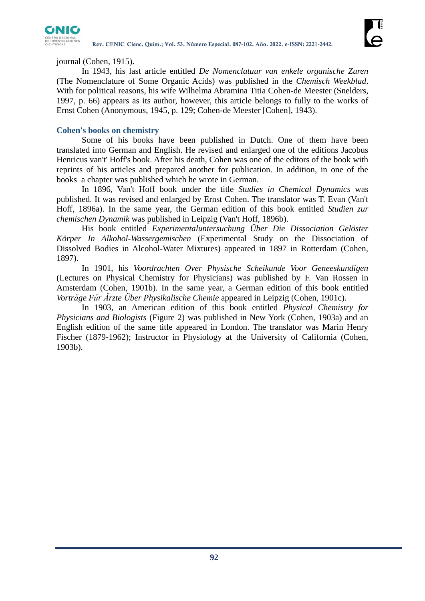

journal (Cohen, 1915).

In 1943, his last article entitled *De Nomenclatuur van enkele organische Zuren* (The Nomenclature of Some Organic Acids) was published in the *Chemisch Weekblad*. With for political reasons, his wife Wilhelma Abramina Titia Cohen-de Meester (Snelders, 1997, p. 66) appears as its author, however, this article belongs to fully to the works of Ernst Cohen (Anonymous, 1945, p. 129; Cohen-de Meester [Cohen], 1943).

# **Cohen's books on chemistry**

Some of his books have been published in Dutch. One of them have been translated into German and English. He revised and enlarged one of the editions Jacobus Henricus van't' Hoff's book. After his death, Cohen was one of the editors of the book with reprints of his articles and prepared another for publication. In addition, in one of the books a chapter was published which he wrote in German.

In 1896, Van't Hoff book under the title *Studies in Chemical Dynamics* was published. It was revised and enlarged by Ernst Cohen. The translator was T. Evan (Van't Hoff, 1896a). In the same year, the German edition of this book entitled *Studien zur chemischen Dynamik* was published in Leipzig (Van't Hoff, 1896b).

His book entitled *Experimentaluntersuchung Über Die Dissociation Gelöster Körper In Alkohol-Wassergemischen* (Experimental Study on the Dissociation of Dissolved Bodies in Alcohol-Water Mixtures) appeared in 1897 in Rotterdam (Cohen, 1897).

In 1901, his *Voordrachten Over Physische Scheikunde Voor Geneeskundigen*  (Lectures on Physical Chemistry for Physicians) was published by F. Van Rossen in Amsterdam (Cohen, 1901b). In the same year, a German edition of this book entitled *Vorträge Für Ärzte Über Physikalische Chemie* appeared in Leipzig (Cohen, 1901c).

In 1903, an American edition of this book entitled *Physical Chemistry for Physicians and Biologists* (Figure 2) was published in New York (Cohen, 1903a) and an English edition of the same title appeared in London. The translator was Marin Henry Fischer (1879-1962); Instructor in Physiology at the University of California (Cohen, 1903b).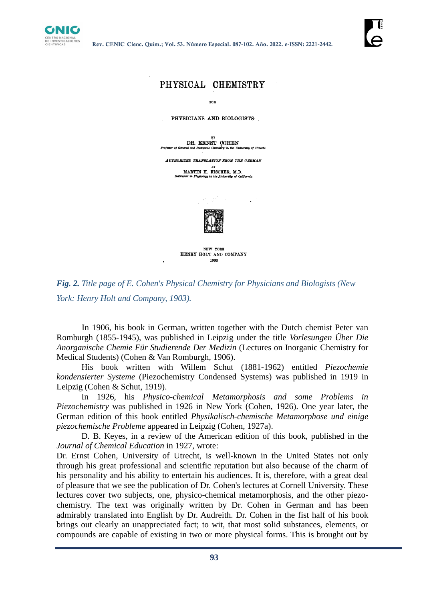



*Fig. 2. Title page of E. Cohen's Physical Chemistry for Physicians and Biologists (New York: Henry Holt and Company, 1903).*

In 1906, his book in German, written together with the Dutch chemist Peter van Romburgh (1855-1945), was published in Leipzig under the title *Vorlesungen Über Die Anorganische Chemie Für Studierende Der Medizin* (Lectures on Inorganic Chemistry for Medical Students) (Cohen & Van Romburgh, 1906).

His book written with Willem Schut (1881-1962) entitled *Piezochemie kondensierter Systeme* (Piezochemistry Condensed Systems) was published in 1919 in Leipzig (Cohen & Schut, 1919).

In 1926, his *Physico-chemical Metamorphosis and some Problems in Piezochemistry* was published in 1926 in New York (Cohen, 1926). One year later, the German edition of this book entitled *Physikalisch-chemische Metamorphose und einige piezochemische Probleme* appeared in Leipzig (Cohen, 1927a).

D. B. Keyes, in a review of the American edition of this book, published in the *Journal of Chemical Education* in 1927, wrote:

Dr. Ernst Cohen, University of Utrecht, is well-known in the United States not only through his great professional and scientific reputation but also because of the charm of his personality and his ability to entertain his audiences. It is, therefore, with a great deal of pleasure that we see the publication of Dr. Cohen's lectures at Cornell University. These lectures cover two subjects, one, physico-chemical metamorphosis, and the other piezochemistry. The text was originally written by Dr. Cohen in German and has been admirably translated into English by Dr. Audreith. Dr. Cohen in the fist half of his book brings out clearly an unappreciated fact; to wit, that most solid substances, elements, or compounds are capable of existing in two or more physical forms. This is brought out by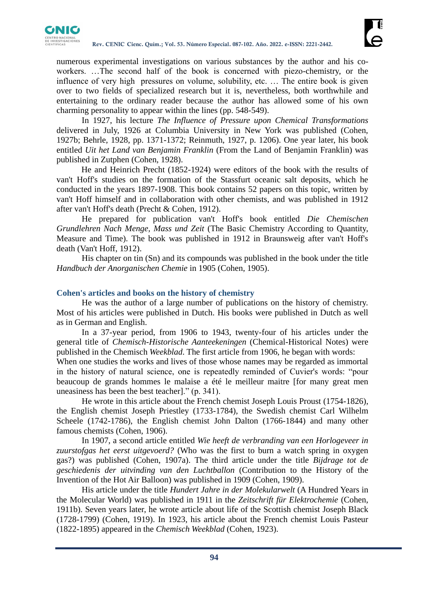

numerous experimental investigations on various substances by the author and his coworkers. …The second half of the book is concerned with piezo-chemistry, or the influence of very high pressures on volume, solubility, etc. … The entire book is given over to two fields of specialized research but it is, nevertheless, both worthwhile and entertaining to the ordinary reader because the author has allowed some of his own charming personality to appear within the lines (pp. 548-549).

In 1927, his lecture *The Influence of Pressure upon Chemical Transformations*  delivered in July, 1926 at Columbia University in New York was published (Cohen, 1927b; Behrle, 1928, pp. 1371-1372; Reinmuth, 1927, p. 1206). One year later, his book entitled *Uit het Land van Benjamin Franklin* (From the Land of Benjamin Franklin) was published in Zutphen (Cohen, 1928).

He and Heinrich Precht (1852-1924) were editors of the book with the results of van't Hoff's studies on the formation of the Stassfurt oceanic salt deposits, which he conducted in the years 1897-1908. This book contains 52 papers on this topic, written by van't Hoff himself and in collaboration with other chemists, and was published in 1912 after van't Hoff's death (Precht & Cohen, 1912).

He prepared for publication van't Hoff's book entitled *Die Chemischen Grundlehren Nach Menge, Mass und Zeit* (The Basic Chemistry According to Quantity, Measure and Time). The book was published in 1912 in Braunsweig after van't Hoff's death (Van't Hoff, 1912).

His chapter on tin (Sn) and its compounds was published in the book under the title *Handbuch der Anorganischen Chemie* in 1905 (Cohen, 1905).

### **Cohen's articles and books on the history of chemistry**

He was the author of a large number of publications on the history of chemistry. Most of his articles were published in Dutch. His books were published in Dutch as well as in German and English.

In a 37-year period, from 1906 to 1943, twenty-four of his articles under the general title of *Chemisch-Historische Aanteekeningen* (Chemical-Historical Notes) were published in the Chemisch *Weekblad*. The first article from 1906, he began with words:

When one studies the works and lives of those whose names may be regarded as immortal in the history of natural science, one is repeatedly reminded of Cuvier's words: "pour beaucoup de grands hommes le malaise a été le meilleur maitre [for many great men uneasiness has been the best teacher]." (p. 341).

He wrote in this article about the French chemist Joseph Louis Proust (1754-1826), the English chemist Joseph Priestley (1733-1784), the Swedish chemist Carl Wilhelm Scheele (1742-1786), the English chemist John Dalton (1766-1844) and many other famous chemists (Cohen, 1906).

In 1907, a second article entitled *Wie heeft de verbranding van een Horlogeveer in zuurstofgas het eerst uitgevoerd?* (Who was the first to burn a watch spring in oxygen gas?) was published (Cohen, 1907a). The third article under the title *Bijdrage tot de geschiedenis der uitvinding van den Luchtballon* (Contribution to the History of the Invention of the Hot Air Balloon) was published in 1909 (Cohen, 1909).

His article under the title *Hundert Jahre in der Molekularwelt* (A Hundred Years in the Molecular World) was published in 1911 in the *Zeitschrift für Elektrochemie* (Cohen, 1911b). Seven years later, he wrote article about life of the Scottish chemist Joseph Black (1728-1799) (Cohen, 1919). In 1923, his article about the French chemist Louis Pasteur (1822-1895) appeared in the *Chemisch Weekblad* (Cohen, 1923).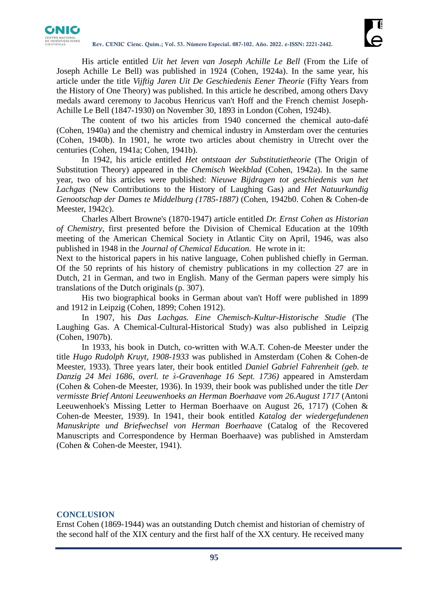

His article entitled *Uit het leven van Joseph Achille Le Bell* (From the Life of Joseph Achille Le Bell) was published in 1924 (Cohen, 1924a). In the same year, his article under the title *Vijftig Jaren Uit De Geschiedenis Eener Theorie* (Fifty Years from the History of One Theory) was published. In this article he described, among others Davy medals award ceremony to Jacobus Henricus van't Hoff and the French chemist Joseph-Achille Le Bell (1847-1930) on November 30, 1893 in London (Cohen, 1924b).

The content of two his articles from 1940 concerned the chemical auto-dafé (Cohen, 1940a) and the chemistry and chemical industry in Amsterdam over the centuries (Cohen, 1940b). In 1901, he wrote two articles about chemistry in Utrecht over the centuries (Cohen, 1941a; Cohen, 1941b).

In 1942, his article entitled *Het ontstaan der Substitutietheorie* (The Origin of Substitution Theory) appeared in the *Chemisch Weekblad* (Cohen, 1942a). In the same year, two of his articles were published: *Nieuwe Bijdragen tot geschiedenis van het Lachgas* (New Contributions to the History of Laughing Gas) and *Het Natuurkundig Genootschap der Dames te Middelburg (1785-1887)* (Cohen, 1942b0. Cohen & Cohen-de Meester, 1942c).

Charles Albert Browne's (1870-1947) article entitled *Dr. Ernst Cohen as Historian of Chemistry*, first presented before the Division of Chemical Education at the 109th meeting of the American Chemical Society in Atlantic City on April, 1946, was also published in 1948 in the *Journal of Chemical Education.* He wrote in it:

Next to the historical papers in his native language, Cohen published chiefly in German. Of the 50 reprints of his history of chemistry publications in my collection 27 are in Dutch, 21 in German, and two in English. Many of the German papers were simply his translations of the Dutch originals (p. 307).

His two biographical books in German about van't Hoff were published in 1899 and 1912 in Leipzig (Cohen, 1899; Cohen 1912).

In 1907, his *Das Lachgas. Eine Chemisch-Kultur-Historische Studie* (The Laughing Gas. A Chemical-Cultural-Historical Study) was also published in Leipzig (Cohen, 1907b).

In 1933, his book in Dutch, co-written with W.A.T. Cohen-de Meester under the title *Hugo Rudolph Kruyt, 1908-1933* was published in Amsterdam (Cohen & Cohen-de Meester, 1933). Three years later, their book entitled *Daniel Gabriel Fahrenheit (geb. te Danzig 24 Mei 1686, overl. te s̀-Gravenhage 16 Sept. 1736)* appeared in Amsterdam (Cohen & Cohen-de Meester, 1936). In 1939, their book was published under the title *Der vermisste Brief Antoni Leeuwenhoeks an Herman Boerhaave vom 26.August 1717* (Antoni Leeuwenhoek's Missing Letter to Herman Boerhaave on August 26, 1717) (Cohen & Cohen-de Meester, 1939). In 1941, their book entitled *Katalog der wiedergefundenen Manuskripte und Briefwechsel von Herman Boerhaave* (Catalog of the Recovered Manuscripts and Correspondence by Herman Boerhaave) was published in Amsterdam (Cohen & Cohen-de Meester, 1941).

### **CONCLUSION**

Ernst Cohen (1869-1944) was an outstanding Dutch chemist and historian of chemistry of the second half of the XIX century and the first half of the XX century. He received many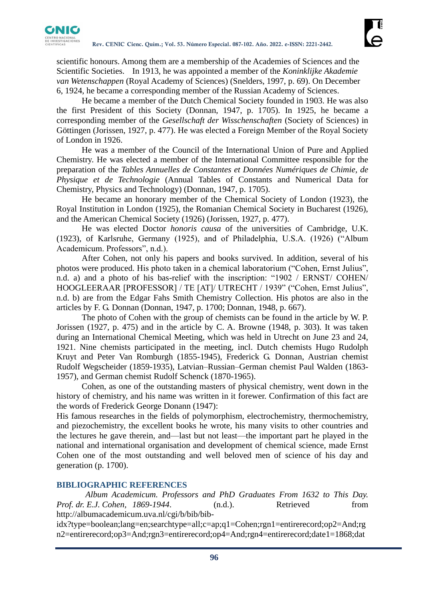

scientific honours. Among them are a membership of the Academies of Sciences and the Scientific Societies. In 1913, he was appointed a member of the *Koninklijke Akademie van Wetenschappen* (Royal Academy of Sciences) (Snelders, 1997, p. 69). On December 6, 1924, he became a corresponding member of the Russian Academy of Sciences.

He became a member of the Dutch Chemical Society founded in 1903. He was also the first President of this Society (Donnan, 1947, p. 1705). In 1925, he became a corresponding member of the *Gesellschaft der Wisschenschaften* (Society of Sciences) in Göttingen (Jorissen, 1927, p. 477). He was elected a Foreign Member of the Royal Society of London in 1926.

He was a member of the Council of the International Union of Pure and Applied Chemistry. He was elected a member of the International Committee responsible for the preparation of the *Tables Annuelles de Constantes et Données Numériques de Chimie, de Physique et de Technologie* (Annual Tables of Constants and Numerical Data for Chemistry, Physics and Technology) (Donnan, 1947, p. 1705).

He became an honorary member of the Chemical Society of London (1923), the Royal Institution in London (1925), the Romanian Chemical Society in Bucharest (1926), and the American Chemical Society (1926) (Jorissen, 1927, p. 477).

He was elected Doctor *honoris causa* of the universities of Cambridge, U.K. (1923), of Karlsruhe, Germany (1925), and of Philadelphia, U.S.A. (1926) ("Album Academicum. Professors", n.d.).

After Cohen, not only his papers and books survived. In addition, several of his photos were produced. His photo taken in a chemical laboratorium ("Cohen, Ernst Julius", n.d. a) and a photo of his bas-relief with the inscription: "1902 / ERNST/ COHEN/ HOOGLEERAAR [PROFESSOR] / TE [AT]/ UTRECHT / 1939" ("Cohen, Ernst Julius", n.d. b) are from the Edgar Fahs Smith Chemistry Collection. His photos are also in the articles by F. G. Donnan (Donnan, 1947, p. 1700; Donnan, 1948, p. 667).

The photo of Cohen with the group of chemists can be found in the article by W. P. Jorissen (1927, p. 475) and in the article by C. A. Browne (1948, p. 303). It was taken during an International Chemical Meeting, which was held in Utrecht on June 23 and 24, 1921. Nine chemists participated in the meeting, incl. Dutch chemists Hugo Rudolph Kruyt and Peter Van Romburgh (1855-1945), Frederick G. Donnan, Austrian chemist Rudolf Wegscheider (1859-1935), Latvian–Russian–German chemist Paul Walden (1863- 1957), and German chemist Rudolf Schenck (1870-1965).

Cohen, as one of the outstanding masters of physical chemistry, went down in the history of chemistry, and his name was written in it forewer. Confirmation of this fact are the words of Frederick George Donann (1947):

His famous researches in the fields of polymorphism, electrochemistry, thermochemistry, and piezochemistry, the excellent books he wrote, his many visits to other countries and the lectures he gave therein, and—last but not least—the important part he played in the national and international organisation and development of chemical science, made Ernst Cohen one of the most outstanding and well beloved men of science of his day and generation (p. 1700).

# **BIBLIOGRAPHIC REFERENCES**

*Album Academicum. Professors and PhD Graduates From 1632 to This Day. Prof. dr. E.J. Cohen, 1869-1944.* (n.d.). Retrieved from http://albumacademicum.uva.nl/cgi/b/bib/bib-

idx?type=boolean;lang=en;searchtype=all;c=ap;q1=Cohen;rgn1=entirerecord;op2=And;rg n2=entirerecord;op3=And;rgn3=entirerecord;op4=And;rgn4=entirerecord;date1=1868;dat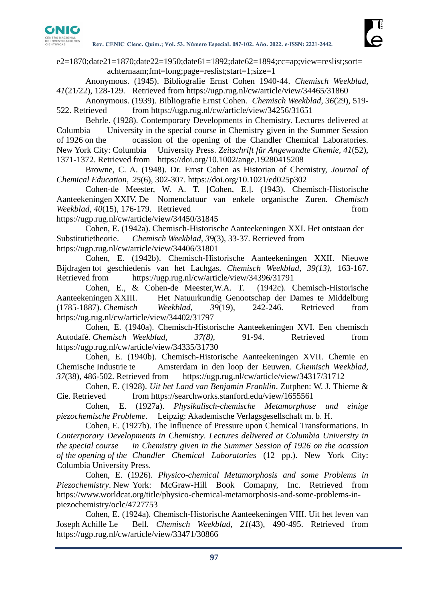

 $e2=1870;$ date $21=1870;$ date $22=1950;$ date $61=1892;$ date $62=1894;$ cc=ap;view=reslist;sort= achternaam;fmt=long;page=reslist;start=1;size=1

Anonymous. (1945). Bibliografie Ernst Cohen 1940-44. *Chemisch Weekblad, 41*(21/22), 128-129. Retrieved from https://ugp.rug.nl/cw/article/view/34465/31860

Anonymous. (1939). Bibliografie Ernst Cohen. *Chemisch Weekblad*, *36*(29), 519- 522. Retrieved from https://ugp.rug.nl/cw/article/view/34256/31651

Behrle. (1928). Contemporary Developments in Chemistry. Lectures delivered at Columbia University in the special course in Chemistry given in the Summer Session of 1926 on the ocassion of the opening of the Chandler Chemical Laboratories. New York City: Columbia University Press. *Zeitschrift für Angewandte Chemie, 41*(52), 1371-1372. Retrieved from https://doi.org/10.1002/ange.19280415208

Browne, C. A. (1948). Dr. Ernst Cohen as Historian of Chemistry, *Journal of Chemical Education, 25*(6), 302-307. https://doi.org/10.1021/ed025p302

Cohen-de Meester, W. A. T. [Cohen, E.]. (1943). Chemisch-Historische Aanteekeningen XXIV. De Nomenclatuur van enkele organische Zuren. *Chemisch Weekblad, 40*(15), 176-179. Retrieved from

https://ugp.rug.nl/cw/article/view/34450/31845

Cohen, E. (1942a). Chemisch-Historische Aanteekeningen XXI. Het ontstaan der Substitutietheorie. *Chemisch Weekblad, 39*(3), 33-37. Retrieved from https://ugp.rug.nl/cw/article/view/34406/31801

Cohen, E. (1942b). Chemisch-Historische Aanteekeningen XXII. Nieuwe Bijdragen tot geschiedenis van het Lachgas. *Chemisch Weekblad, 39(13)*, 163-167. Retrieved from https://ugp.rug.nl/cw/article/view/34396/31791

Cohen, E., & Cohen-de Meester,W.A. T. (1942c). Chemisch-Historische Aanteekeningen XXIII. Het Natuurkundig Genootschap der Dames te Middelburg (1785-1887). *Chemisch Weekblad, 39*(19), 242-246. Retrieved from https://ug.rug.nl/cw/article/view/34402/31797

Cohen, E. (1940a). Chemisch-Historische Aanteekeningen XVI. Een chemisch Autodafé. *Chemisch Weekblad, 37(8)*, 91-94. Retrieved from https://ugp.rug.nl/cw/article/view/34335/31730

Cohen, E. (1940b). Chemisch-Historische Aanteekeningen XVII. Chemie en Chemische Industrie te Amsterdam in den loop der Eeuwen. *Chemisch Weekblad, 37*(38), 486-502. Retrieved from https://ugp.rug.nl/cw/article/view/34317/31712

Cohen, E. (1928). *Uit het Land van Benjamin Franklin*. Zutphen: W. J. Thieme & Cie. Retrieved from https://searchworks.stanford.edu/view/1655561

Cohen, E. (1927a). *Physikalisch-chemische Metamorphose und einige piezochemische Probleme*. Leipzig: Akademische Verlagsgesellschaft m. b. H.

Cohen, E. (1927b). The Influence of Pressure upon Chemical Transformations. In *Conterporary Developments in Chemistry*. *Lectures delivered at Columbia University in the special course in Chemistry given in the Summer Session of 1926 on the ocassion of the opening of the Chandler Chemical Laboratories* (12 pp.). New York City: Columbia University Press.

Cohen, E. (1926). *Physico-chemical Metamorphosis and some Problems in Piezochemistry*. New York: McGraw-Hill Book Comapny, Inc. Retrieved from https://www.worldcat.org/title/physico-chemical-metamorphosis-and-some-problems-inpiezochemistry/oclc/4727753

Cohen, E. (1924a). Chemisch-Historische Aanteekeningen VIII. Uit het leven van Joseph Achille Le Bell. *Chemisch Weekblad, 21*(43), 490-495. Retrieved from https://ugp.rug.nl/cw/article/view/33471/30866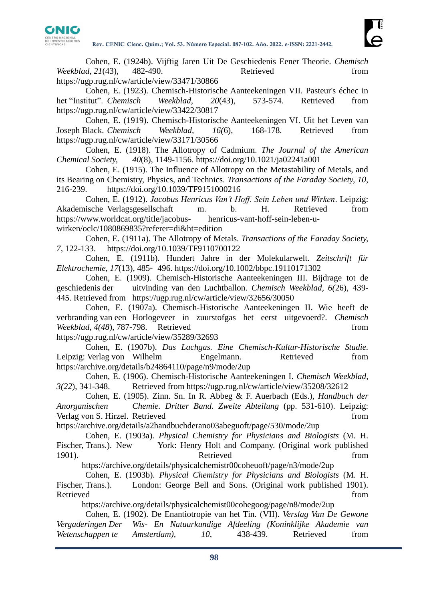

Cohen, E. (1924b). Vijftig Jaren Uit De Geschiedenis Eener Theorie. *Chemisch Weekblad, 21*(43), 482-490. Retrieved from https://ugp.rug.nl/cw/article/view/33471/30866

Cohen, E. (1923). Chemisch-Historische Aanteekeningen VII. Pasteur's échec in het "Institut". *Chemisch Weekblad, 20*(43), 573-574. Retrieved from https://ugp.rug.nl/cw/article/view/33422/30817

Cohen, E. (1919). Chemisch-Historische Aanteekeningen VI. Uit het Leven van Joseph Black. *Chemisch Weekblad, 16(*6), 168-178. Retrieved from https://ugp.rug.nl/cw/article/view/33171/30566

Cohen, E. (1918). The Allotropy of Cadmium. *The Journal of the American Chemical Society, 40*(8), 1149-1156. https://doi.org/10.1021/ja02241a001

Cohen, E. (1915). The Influence of Allotropy on the Metastability of Metals, and its Bearing on Chemistry, Physics, and Technics. *Transactions of the Faraday Society, 10*, 216-239. https://doi.org/10.1039/TF9151000216

Cohen, E. (1912). *Jacobus Henricus Van't Hoff. Sein Leben und Wirken*. Leipzig: Akademische Verlagsgesellschaft m. b. H. Retrieved from https://www.worldcat.org/title/jacobus- henricus-vant-hoff-sein-leben-uwirken/oclc/1080869835?referer=di&ht=edition

Cohen, E. (1911a). The Allotropy of Metals. *Transactions of the Faraday Society, 7*, 122-133. https://doi.org/10.1039/TF9110700122

Cohen, E. (1911b). Hundert Jahre in der Molekularwelt. *Zeitschrift für Elektrochemie, 17*(13), 485- 496. https://doi.org/10.1002/bbpc.19110171302

Cohen, E. (1909). Chemisch-Historische Aanteekeningen III. Bijdrage tot de geschiedenis der uitvinding van den Luchtballon. *Chemisch Weekblad, 6(*26), 439- 445. Retrieved from https://ugp.rug.nl/cw/article/view/32656/30050

Cohen, E. (1907a). Chemisch-Historische Aanteekeningen II. Wie heeft de verbranding van een Horlogeveer in zuurstofgas het eerst uitgevoerd?. *Chemisch Weekblad, 4(48), 787-798.* Retrieved from from

https://ugp.rug.nl/cw/article/view/35289/32693 Cohen, E. (1907b). *Das Lachgas. Eine Chemisch-Kultur-Historische Studie.* Leipzig: Verlag von Wilhelm Engelmann. Retrieved from

https://archive.org/details/b24864110/page/n9/mode/2up

Cohen, E. (1906). Chemisch-Historische Aanteekeningen I. *Chemisch Weekblad, 3(22*), 341-348. Retrieved from https://ugp.rug.nl/cw/article/view/35208/32612

Cohen, E. (1905). Zinn. Sn. In R. Abbeg & F. Auerbach (Eds.), *Handbuch der Anorganischen Chemie. Dritter Band. Zweite Abteilung* (pp. 531-610). Leipzig: Verlag von S. Hirzel. Retrieved from from the state of the state from from the state of the state of the state of the state of the state of the state of the state of the state of the state of the state of the state of the

https://archive.org/details/a2handbuchderano03abeguoft/page/530/mode/2up

Cohen, E. (1903a). *Physical Chemistry for Physicians and Biologists* (M. H. Fischer, Trans.). New York: Henry Holt and Company. (Original work published 1901). Retrieved from

https://archive.org/details/physicalchemistr00coheuoft/page/n3/mode/2up

Cohen, E. (1903b). *Physical Chemistry for Physicians and Biologists* (M. H. Fischer, Trans.). London: George Bell and Sons. (Original work published 1901). Retrieved that the contract of the contract of the contract of the contract of the contract of the contract of the contract of the contract of the contract of the contract of the contract of the contract of the contract of

https://archive.org/details/physicalchemist00cohegoog/page/n8/mode/2up

Cohen, E. (1902). De Enantiotropie van het Tin. (VII). *Verslag Van De Gewone Vergaderingen Der Wis- En Natuurkundige Afdeeling (Koninklijke Akademie van Wetenschappen te Amsterdam), 10*, 438-439. Retrieved from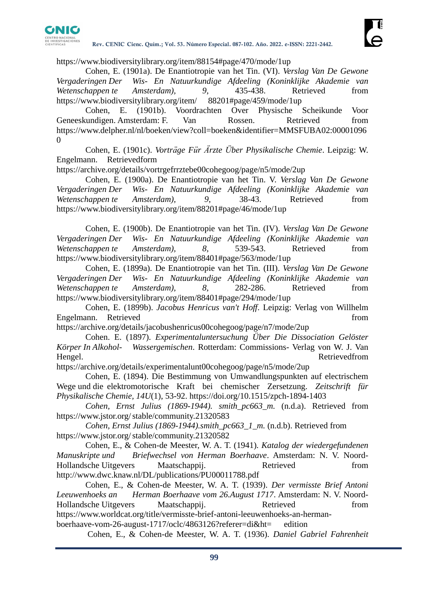

https://www.biodiversitylibrary.org/item/88154#page/470/mode/1up

Cohen, E. (1901a). De Enantiotropie van het Tin. (VI). *Verslag Van De Gewone Vergaderingen Der Wis- En Natuurkundige Afdeeling (Koninklijke Akademie van Wetenschappen te Amsterdam), 9*, 435-438. Retrieved from https://www.biodiversitylibrary.org/item/ 88201#page/459/mode/1up

Cohen, E. (1901b). Voordrachten Over Physische Scheikunde Voor Geneeskundigen. Amsterdam: F. Van Rossen. Retrieved from [https://www.delpher.nl/nl/boeken/view?coll=boeken&identifier=MMSFUBA02:00001096](https://www.delpher.nl/nl/boeken/view?coll=boeken&identifier=MMSFUBA02:000010960) [0](https://www.delpher.nl/nl/boeken/view?coll=boeken&identifier=MMSFUBA02:000010960)

Cohen, E. (1901c). *Vorträge Für Ärzte Über Physikalische Chemie*. Leipzig: W. Engelmann. Retrievedform

https://archive.org/details/vortrgefrrztebe00cohegoog/page/n5/mode/2up

Cohen, E. (1900a). De Enantiotropie van het Tin. V. *Verslag Van De Gewone Vergaderingen Der Wis- En Natuurkundige Afdeeling (Koninklijke Akademie van Wetenschappen te Amsterdam), 9*, 38-43. Retrieved from https://www.biodiversitylibrary.org/item/88201#page/46/mode/1up

Cohen, E. (1900b). De Enantiotropie van het Tin. (IV). *Verslag Van De Gewone Vergaderingen Der Wis- En Natuurkundige Afdeeling (Koninklijke Akademie van Wetenschappen te Amsterdam), 8*, 539-543. Retrieved from https://www.biodiversitylibrary.org/item/88401#page/563/mode/1up

Cohen, E. (1899a). De Enantiotropie van het Tin. (III). *Verslag Van De Gewone Vergaderingen Der Wis- En Natuurkundige Afdeeling (Koninklijke Akademie van Wetenschappen te Amsterdam), 8*, 282-286. Retrieved from https://www.biodiversitylibrary.org/item/88401#page/294/mode/1up

Cohen, E. (1899b). *Jacobus Henricus van't Hoff*. Leipzig: Verlag von Willhelm Engelmann. Retrieved from the state of the state of the state of the state of the state of the state of the state of the state of the state of the state of the state of the state of the state of the state of the state of t

https://archive.org/details/jacobushenricus00cohegoog/page/n7/mode/2up

Cohen. E. (1897). *Experimentaluntersuchung Über Die Dissociation Gelöster Körper In Alkohol- Wassergemischen*. Rotterdam: Commissions- Verlag von W. J. Van Hengel. Retrievedfrom

https://archive.org/details/experimentalunt00cohegoog/page/n5/mode/2up

Cohen, E. (1894). Die Bestimmung von Umwandlungspunkten auf electrischem Wege und die elektromotorische Kraft bei chemischer Zersetzung. *Zeitschrift für Physikalische Chemie, 14U*(1), 53-92. https://doi.org/10.1515/zpch-1894-1403

*Cohen, Ernst Julius (1869-1944). smith\_pc663\_m.* (n.d.a). Retrieved from https://www.jstor.org/stable/community.21320583

*Cohen, Ernst Julius (1869-1944).smith\_pc663\_1\_m.* (n.d.b). Retrieved from https://www.jstor.org/stable/community.21320582

Cohen, E., & Cohen-de Meester, W. A. T. (1941)*. Katalog der wiedergefundenen Manuskripte und Briefwechsel von Herman Boerhaave*. Amsterdam: N. V. Noord-Hollandsche Uitgevers Maatschappij. Retrieved from http://www.dwc.knaw.nl/DL/publications/PU00011788.pdf

Cohen, E., & Cohen-de Meester, W. A. T. (1939). *Der vermisste Brief Antoni Leeuwenhoeks an Herman Boerhaave vom 26.August 1717*. Amsterdam: N. V. Noord-Hollandsche Uitgevers Maatschappij. Retrieved from https://www.worldcat.org/title/vermisste-brief-antoni-leeuwenhoeks-an-hermanboerhaave-vom-26-august-1717/oclc/4863126?referer=di&ht= edition

Cohen, E., & Cohen-de Meester, W. A. T. (1936). *Daniel Gabriel Fahrenheit*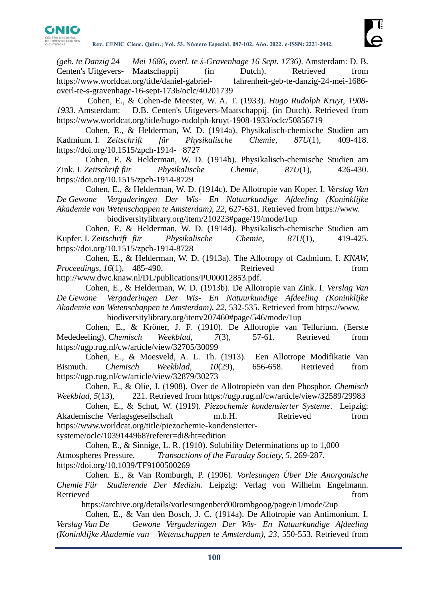

*(geb. te Danzig 24 Mei 1686, overl. te s̀-Gravenhage 16 Sept. 1736)*. Amsterdam: D. B. Centen's Uitgevers- Maatschappij (in Dutch). Retrieved from https://www.worldcat.org/title/daniel-gabriel- fahrenheit-geb-te-danzig-24-mei-1686 overl-te-s-gravenhage-16-sept-1736/oclc/40201739

Cohen, E., & Cohen-de Meester, W. A. T. (1933). *Hugo Rudolph Kruyt, 1908- 1933*. Amsterdam:D.B. Centen's Uitgevers-Maatschappij. (in Dutch). Retrieved from https://www.worldcat.org/title/hugo-rudolph-kruyt-1908-1933/oclc/50856719

Cohen, E., & Helderman, W. D. (1914a). Physikalisch-chemische Studien am Kadmium. I. *Zeitschrift für Physikalische Chemie*, *87U*(1), 409-418. https://doi.org/10.1515/zpch-1914- 8727

Cohen, E. & Helderman, W. D. (1914b). Physikalisch-chemische Studien am Zink. I. *Zeitschrift für Physikalische Chemie, 87U*(1), 426-430. https://doi.org/10.1515/zpch-1914-8729

Cohen, E., & Helderman, W. D. (1914c). De Allotropie van Koper. I. *Verslag Van De Gewone Vergaderingen Der Wis- En Natuurkundige Afdeeling (Koninklijke Akademie van Wetenschappen te Amsterdam), 22*, 627-631. Retrieved from https://www. biodiversitylibrary.org/item/210223#page/19/mode/1up

Cohen, E. & Helderman, W. D. (1914d). Physikalisch-chemische Studien am Kupfer. I. *Zeitschrift für Physikalische Chemie, 87U*(1), 419-425. https://doi.org/10.1515/zpch-1914-8728

Cohen, E., & Helderman, W. D. (1913a). The Allotropy of Cadmium. I. *KNAW, Proceedings, 16*(1), 485-490. Retrieved from http://www.dwc.knaw.nl/DL/publications/PU00012853.pdf.

Cohen, E., & Helderman, W. D. (1913b). De Allotropie van Zink. I. *Verslag Van De Gewone Vergaderingen Der Wis- En Natuurkundige Afdeeling (Koninklijke Akademie van Wetenschappen te Amsterdam), 22*, 532-535. Retrieved from https://www.

biodiversitylibrary.org/item/207460#page/546/mode/1up

Cohen, E., & Kröner, J. F. (1910). De Allotropie van Tellurium. (Eerste Mededeeling). *Chemisch Weekblad, 7*(3), 57-61. Retrieved from https://ugp.rug.nl/cw/article/view/32705/30099

Cohen, E., & Moesveld, A. L. Th. (1913). Een Allotrope Modifikatie Van Bismuth. *Chemisch Weekblad, 10*(29), 656-658. Retrieved from https://ugp.rug.nl/cw/article/view/32879/30273

Cohen, E., & Olie, J. (1908). Over de Allotropieën van den Phosphor. *Chemisch Weekblad, 5*(13), 221. Retrieved from https://ugp.rug.nl/cw/article/view/32589/29983

Cohen, E., & Schut, W. (1919). *Piezochemie kondensierter Systeme*. Leipzig: Akademische Verlagsgesellschaft m.b.H. Retrieved from https://www.worldcat.org/title/piezochemie-kondensiertersysteme/oclc/1039144968?referer=di&ht=edition

Cohen, E., & Sinnige, L. R. (1910). Solubility Determinations up to 1,000 Atmospheres Pressure. *Transactions of the Faraday Society, 5*, 269-287. https://doi.org/10.1039/TF9100500269

Cohen. E., & Van Romburgh, P. (1906). *Vorlesungen Über Die Anorganische Chemie Für Studierende Der Medizin*. Leipzig: Verlag von Wilhelm Engelmann. Retrieved from the state of the state of the state of the state of the state of the state of the state of the state of the state of the state of the state of the state of the state of the state of the state of the state of

https://archive.org/details/vorlesungenberd00rombgoog/page/n1/mode/2up

Cohen, E., & Van den Bosch, J. C. (1914a). De Allotropie van Antimonium. I. *Verslag Van De Gewone Vergaderingen Der Wis- En Natuurkundige Afdeeling (Koninklijke Akademie van Wetenschappen te Amsterdam), 23*, 550-553. Retrieved from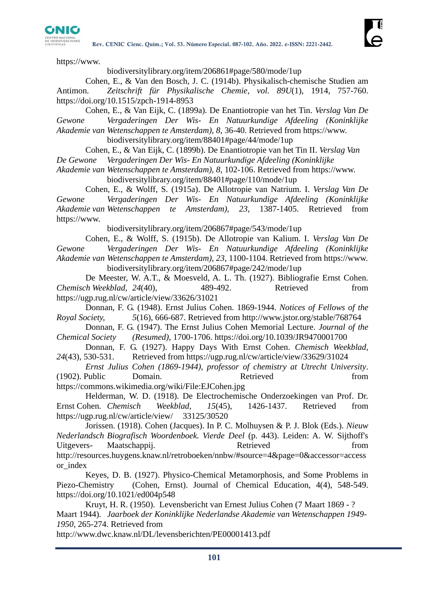

https://www.

#### biodiversitylibrary.org/item/206861#page/580/mode/1up

Cohen, E., & Van den Bosch, J. C. (1914b). Physikalisch-chemische Studien am Antimon. *Zeitschrift für Physikalische Chemie, vol. 89U*(1), 1914, 757-760. https://doi.org/10.1515/zpch-1914-8953

Cohen, E., & Van Eijk, C. (1899a). De Enantiotropie van het Tin. *Verslag Van De Gewone Vergaderingen Der Wis- En Natuurkundige Afdeeling (Koninklijke Akademie van Wetenschappen te Amsterdam), 8*, 36-40. Retrieved from https://www.

biodiversitylibrary.org/item/88401#page/44/mode/1up

Cohen, E., & Van Eijk, C. (1899b). De Enantiotropie van het Tin II. *Verslag Van* 

*De Gewone Vergaderingen Der Wis- En Natuurkundige Afdeeling (Koninklijke* 

*Akademie van Wetenschappen te Amsterdam), 8*, 102-106. Retrieved from https://www. biodiversitylibrary.org/item/88401#page/110/mode/1up

Cohen, E., & Wolff, S. (1915a). De Allotropie van Natrium. I. *Verslag Van De Gewone Vergaderingen Der Wis- En Natuurkundige Afdeeling (Koninklijke Akademie van Wetenschappen te Amsterdam), 23*, 1387-1405. Retrieved from https://www.

biodiversitylibrary.org/item/206867#page/543/mode/1up

Cohen, E., & Wolff, S. (1915b). De Allotropie van Kalium. I. *Verslag Van De Gewone Vergaderingen Der Wis- En Natuurkundige Afdeeling (Koninklijke Akademie van Wetenschappen te Amsterdam), 23*, 1100-1104. Retrieved from https://www. biodiversitylibrary.org/item/206867#page/242/mode/1up

De Meester, W. A.T., & Moesveld, A. L. Th. (1927). Bibliografie Ernst Cohen. *Chemisch Weekblad, 24*(40), 489-492. Retrieved from https://ugp.rug.nl/cw/article/view/33626/31021

Donnan, F. G. (1948). Ernst Julius Cohen. 1869-1944. *Notices of Fellows of the Royal Society, 5*(16), 666-687. Retrieved from http://www.jstor.org/stable/768764

Donnan, F. G. (1947). The Ernst Julius Cohen Memorial Lecture. *Journal of the Chemical Society (Resumed),* 1700-1706. https://doi.org/10.1039/JR9470001700

Donnan, F. G. (1927). Happy Days With Ernst Cohen. *Chemisch Weekblad, 24*(43), 530-531. Retrieved from https://ugp.rug.nl/cw/article/view/33629/31024

*Ernst Julius Cohen (1869-1944), professor of chemistry at Utrecht University*. (1902). Public Domain. Retrieved from https://commons.wikimedia.org/wiki/File:EJCohen.jpg

Helderman, W. D. (1918). De Electrochemische Onderzoekingen van Prof. Dr. Ernst Cohen. *Chemisch Weekblad, 15*(45), 1426-1437. Retrieved from https://ugp.rug.nl/cw/article/view/ 33125/30520

Jorissen. (1918). Cohen (Jacques). In P. C. Molhuysen & P. J. Blok (Eds.). *Nieuw Nederlandsch Biografisch Woordenboek. Vierde Deel* (p. 443). Leiden: A. W. Sijthoff's Uitgevers- Maatschappij. Retrieved from **Retrieved** from **from** http://resources.huygens.knaw.nl/retroboeken/nnbw/#source=4&page=0&accessor=access or\_index

Keyes, D. B. (1927). Physico-Chemical Metamorphosis, and Some Problems in Piezo-Chemistry (Cohen, Ernst). Journal of Chemical Education, 4(4), 548-549. https://doi.org/10.1021/ed004p548

Kruyt, H. R. (1950). Levensbericht van Ernest Julius Cohen (7 Maart 1869 - ? Maart 1944). *Jaarboek der Koninklijke Nederlandse Akademie van Wetenschappen 1949- 1950,* 265-274. Retrieved from

http://www.dwc.knaw.nl/DL/levensberichten/PE00001413.pdf